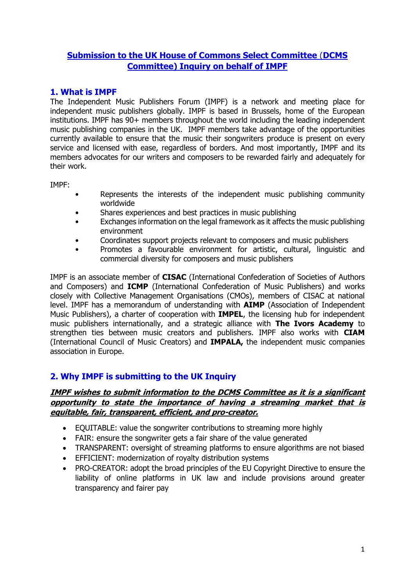# **Submission to the UK House of Commons Select Committee** (**DCMS Committee) Inquiry on behalf of IMPF**

# **1. What is IMPF**

The Independent Music Publishers Forum (IMPF) is a network and meeting place for independent music publishers globally. IMPF is based in Brussels, home of the European institutions. IMPF has 90+ members throughout the world including the leading independent music publishing companies in the UK. IMPF members take advantage of the opportunities currently available to ensure that the music their songwriters produce is present on every service and licensed with ease, regardless of borders. And most importantly, IMPF and its members advocates for our writers and composers to be rewarded fairly and adequately for their work.

IMPF:

- Represents the interests of the independent music publishing community worldwide
- Shares experiences and best practices in music publishing
- Exchanges information on the legal framework as it affects the music publishing environment
- Coordinates support projects relevant to composers and music publishers
- Promotes a favourable environment for artistic, cultural, linguistic and commercial diversity for composers and music publishers

IMPF is an associate member of **CISAC** (International Confederation of Societies of Authors and Composers) and **ICMP** (International Confederation of Music Publishers) and works closely with Collective Management Organisations (CMOs), members of CISAC at national level. IMPF has a memorandum of understanding with **AIMP** (Association of Independent Music Publishers), a charter of cooperation with **IMPEL**, the licensing hub for independent music publishers internationally, and a strategic alliance with **The Ivors Academy** to strengthen ties between music creators and publishers. IMPF also works with **CIAM** (International Council of Music Creators) and **IMPALA,** the independent music companies association in Europe.

## **2. Why IMPF is submitting to the UK Inquiry**

#### **IMPF wishes to submit information to the DCMS Committee as it is a significant opportunity to state the importance of having a streaming market that is equitable, fair, transparent, efficient, and pro-creator.**

- EQUITABLE: value the songwriter contributions to streaming more highly
- FAIR: ensure the songwriter gets a fair share of the value generated
- TRANSPARENT: oversight of streaming platforms to ensure algorithms are not biased
- EFFICIENT: modernization of royalty distribution systems
- PRO-CREATOR: adopt the broad principles of the EU Copyright Directive to ensure the liability of online platforms in UK law and include provisions around greater transparency and fairer pay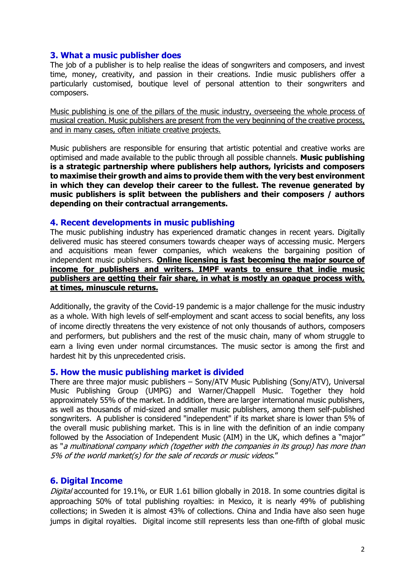### **3. What a music publisher does**

The job of a publisher is to help realise the ideas of songwriters and composers, and invest time, money, creativity, and passion in their creations. Indie music publishers offer a particularly customised, boutique level of personal attention to their songwriters and composers.

Music publishing is one of the pillars of the music industry, overseeing the whole process of musical creation. Music publishers are present from the very beginning of the creative process, and in many cases, often initiate creative projects.

Music publishers are responsible for ensuring that artistic potential and creative works are optimised and made available to the public through all possible channels. **Music publishing is a strategic partnership where publishers help authors, lyricists and composers to maximise their growth and aims to provide them with the very best environment in which they can develop their career to the fullest. The revenue generated by music publishers is split between the publishers and their composers / authors depending on their contractual arrangements.**

#### **4. Recent developments in music publishing**

The music publishing industry has experienced dramatic changes in recent years. Digitally delivered music has steered consumers towards cheaper ways of accessing music. Mergers and acquisitions mean fewer companies, which weakens the bargaining position of independent music publishers. **Online licensing is fast becoming the major source of income for publishers and writers. IMPF wants to ensure that indie music publishers are getting their fair share, in what is mostly an opaque process with, at times, minuscule returns.**

Additionally, the gravity of the Covid-19 pandemic is a major challenge for the music industry as a whole. With high levels of self-employment and scant access to social benefits, any loss of income directly threatens the very existence of not only thousands of authors, composers and performers, but publishers and the rest of the music chain, many of whom struggle to earn a living even under normal circumstances. The music sector is among the first and hardest hit by this unprecedented crisis.

### **5. How the music publishing market is divided**

There are three major music publishers – Sony/ATV Music Publishing (Sony/ATV), Universal Music Publishing Group (UMPG) and Warner/Chappell Music. Together they hold approximately 55% of the market. In addition, there are larger international music publishers, as well as thousands of mid-sized and smaller music publishers, among them self‐published songwriters. A publisher is considered "independent" if its market share is lower than 5% of the overall music publishing market. This is in line with the definition of an indie company followed by the Association of Independent Music (AIM) in the UK, which defines a "major" as "a multinational company which (together with the companies in its group) has more than 5% of the world market(s) for the sale of records or music videos."

### **6. Digital Income**

Digital accounted for 19.1%, or EUR 1.61 billion globally in 2018. In some countries digital is approaching 50% of total publishing royalties: in Mexico, it is nearly 49% of publishing collections; in Sweden it is almost 43% of collections. China and India have also seen huge jumps in digital royalties. Digital income still represents less than one-fifth of global music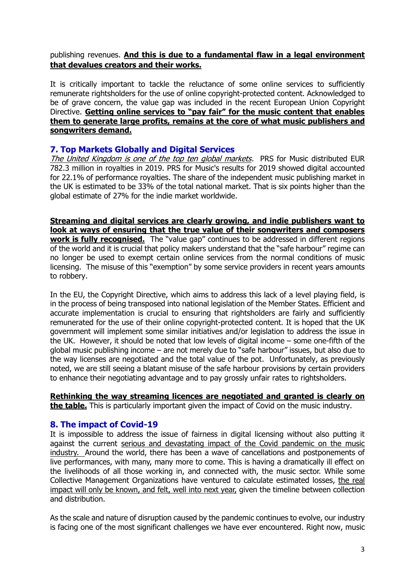## publishing revenues. **And this is due to a fundamental flaw in a legal environment that devalues creators and their works.**

It is critically important to tackle the reluctance of some online services to sufficiently remunerate rightsholders for the use of online copyright-protected content. Acknowledged to be of grave concern, the value gap was included in the recent European Union Copyright Directive. **Getting online services to "pay fair" for the music content that enables them to generate large profits, remains at the core of what music publishers and songwriters demand.**

## **7. Top Markets Globally and Digital Services**

The United Kingdom is one of the top ten global markets. PRS for Music distributed EUR 782.3 million in royalties in 2019. PRS for Music's results for 2019 showed digital accounted for 22.1% of performance royalties. The share of the independent music publishing market in the UK is estimated to be 33% of the total national market. That is six points higher than the global estimate of 27% for the indie market worldwide.

**Streaming and digital services are clearly growing, and indie publishers want to look at ways of ensuring that the true value of their songwriters and composers work is fully recognised.** The "value gap" continues to be addressed in different regions of the world and it is crucial that policy makers understand that the "safe harbour" regime can no longer be used to exempt certain online services from the normal conditions of music licensing. The misuse of this "exemption" by some service providers in recent years amounts to robbery.

In the EU, the Copyright Directive, which aims to address this lack of a level playing field, is in the process of being transposed into national legislation of the Member States. Efficient and accurate implementation is crucial to ensuring that rightsholders are fairly and sufficiently remunerated for the use of their online copyright-protected content. It is hoped that the UK government will implement some similar initiatives and/or legislation to address the issue in the UK. However, it should be noted that low levels of digital income – some one-fifth of the global music publishing income – are not merely due to "safe harbour" issues, but also due to the way licenses are negotiated and the total value of the pot. Unfortunately, as previously noted, we are still seeing a blatant misuse of the safe harbour provisions by certain providers to enhance their negotiating advantage and to pay grossly unfair rates to rightsholders.

**Rethinking the way streaming licences are negotiated and granted is clearly on the table.** This is particularly important given the impact of Covid on the music industry.

### **8. The impact of Covid-19**

It is impossible to address the issue of fairness in digital licensing without also putting it against the current serious and devastating impact of the Covid pandemic on the music industry. Around the world, there has been a wave of cancellations and postponements of live performances, with many, many more to come. This is having a dramatically ill effect on the livelihoods of all those working in, and connected with, the music sector. While some Collective Management Organizations have ventured to calculate estimated losses, the real impact will only be known, and felt, well into next year, given the timeline between collection and distribution.

As the scale and nature of disruption caused by the pandemic continues to evolve, our industry is facing one of the most significant challenges we have ever encountered. Right now, music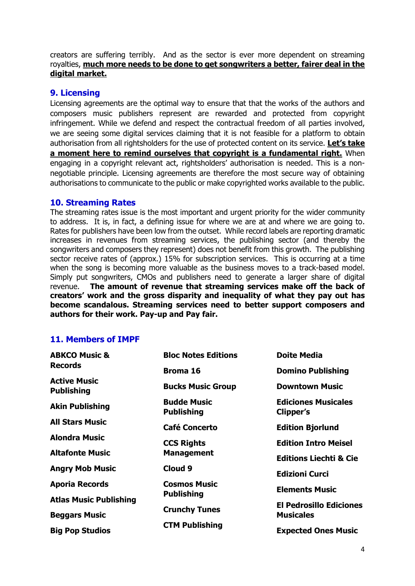creators are suffering terribly. And as the sector is ever more dependent on streaming royalties, **much more needs to be done to get songwriters a better, fairer deal in the digital market.** 

### **9. Licensing**

Licensing agreements are the optimal way to ensure that that the works of the authors and composers music publishers represent are rewarded and protected from copyright infringement. While we defend and respect the contractual freedom of all parties involved, we are seeing some digital services claiming that it is not feasible for a platform to obtain authorisation from all rightsholders for the use of protected content on its service. **Let's take a moment here to remind ourselves that copyright is a fundamental right.** When engaging in a copyright relevant act, rightsholders' authorisation is needed. This is a nonnegotiable principle. Licensing agreements are therefore the most secure way of obtaining authorisations to communicate to the public or make copyrighted works available to the public.

#### **10. Streaming Rates**

The streaming rates issue is the most important and urgent priority for the wider community to address. It is, in fact, a defining issue for where we are at and where we are going to. Rates for publishers have been low from the outset. While record labels are reporting dramatic increases in revenues from streaming services, the publishing sector (and thereby the songwriters and composers they represent) does not benefit from this growth. The publishing sector receive rates of (approx.) 15% for subscription services. This is occurring at a time when the song is becoming more valuable as the business moves to a track-based model. Simply put songwriters, CMOs and publishers need to generate a larger share of digital revenue. **The amount of revenue that streaming services make off the back of creators' work and the gross disparity and inequality of what they pay out has become scandalous. Streaming services need to better support composers and authors for their work. Pay-up and Pay fair.**

### **11. Members of IMPF**

| <b>ABKCO Music &amp;</b><br><b>Records</b> | <b>Bloc Notes Editions</b>              | <b>Doite Media</b>                                 |
|--------------------------------------------|-----------------------------------------|----------------------------------------------------|
|                                            | Broma 16                                | <b>Domino Publishing</b>                           |
| <b>Active Music</b><br><b>Publishing</b>   | <b>Bucks Music Group</b>                | <b>Downtown Music</b>                              |
| <b>Akin Publishing</b>                     | <b>Budde Music</b><br><b>Publishing</b> | <b>Ediciones Musicales</b><br>Clipper's            |
| <b>All Stars Music</b>                     | <b>Café Concerto</b>                    | <b>Edition Bjorlund</b>                            |
| <b>Alondra Music</b>                       | <b>CCS Rights</b>                       | <b>Edition Intro Meisel</b>                        |
| <b>Altafonte Music</b>                     | <b>Management</b>                       | <b>Editions Liechti &amp; Cie</b>                  |
| <b>Angry Mob Music</b>                     | Cloud 9                                 | <b>Edizioni Curci</b>                              |
| <b>Aporia Records</b>                      | <b>Cosmos Music</b>                     | <b>Elements Music</b>                              |
| <b>Atlas Music Publishing</b>              | <b>Publishing</b>                       |                                                    |
| <b>Beggars Music</b>                       | <b>Crunchy Tunes</b>                    | <b>El Pedrosillo Ediciones</b><br><b>Musicales</b> |
| <b>Big Pop Studios</b>                     | <b>CTM Publishing</b>                   | <b>Expected Ones Music</b>                         |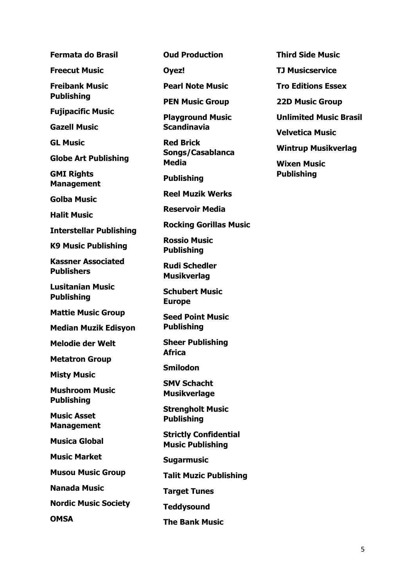**Freecut Music**

**Freibank Music** 

**Publishing**

**Fujipacific Music**

**Gazell Music**

**GL Music**

**Globe Art Publishing**

**GMI Rights Management**

**Golba Music**

**Halit Music**

**Interstellar Publishing**

**K9 Music Publishing**

**Kassner Associated Publishers**

**Lusitanian Music Publishing**

**Mattie Music Group**

**Median Muzik Edisyon**

**Melodie der Welt**

**Metatron Group**

**Misty Music**

**Mushroom Music Publishing**

**Music Asset Management**

**Musica Global**

**Music Market**

**Musou Music Group**

**Nanada Music**

**Nordic Music Society**

**OMSA**

**Oud Production**

**Oyez!**

**Pearl Note Music**

**PEN Music Group**

**Playground Music Scandinavia**

**Red Brick Songs/Casablanca Media**

**Publishing**

**Reel Muzik Werks**

**Reservoir Media**

**Rocking Gorillas Music**

**Rossio Music Publishing**

**Rudi Schedler Musikverlag**

**Schubert Music Europe**

**Seed Point Music Publishing**

**Sheer Publishing Africa**

**Smilodon**

**SMV Schacht Musikverlage**

**Strengholt Music Publishing**

**Strictly Confidential Music Publishing**

**Sugarmusic**

**Talit Muzic Publishing**

**Target Tunes**

**Teddysound**

**The Bank Music**

**Third Side Music**

**TJ Musicservice**

**Tro Editions Essex**

**22D Music Group**

**Unlimited Music Brasil**

**Velvetica Music**

**Wintrup Musikverlag**

**Wixen Music Publishing**